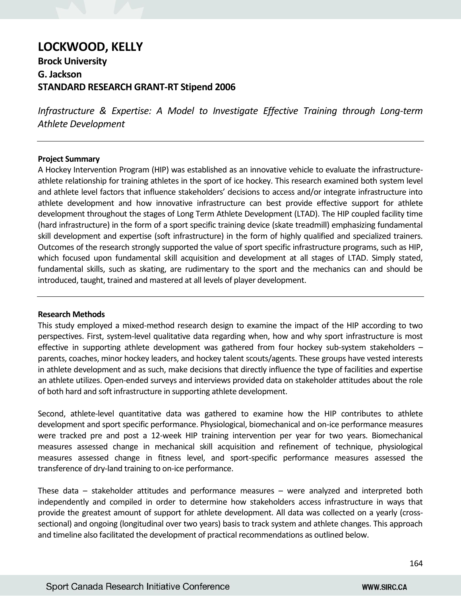# **LOCKWOOD, KELLY**

## **Brock University G. Jackson STANDARD RESEARCH GRANT-RT Stipend 2006**

*Infrastructure & Expertise: A Model to Investigate Effective Training through Long-term Athlete Development*

#### **Project Summary**

A Hockey Intervention Program (HIP) was established as an innovative vehicle to evaluate the infrastructureathlete relationship for training athletes in the sport of ice hockey. This research examined both system level and athlete level factors that influence stakeholders' decisions to access and/or integrate infrastructure into athlete development and how innovative infrastructure can best provide effective support for athlete development throughout the stages of Long Term Athlete Development (LTAD). The HIP coupled facility time (hard infrastructure) in the form of a sport specific training device (skate treadmill) emphasizing fundamental skill development and expertise (soft infrastructure) in the form of highly qualified and specialized trainers. Outcomes of the research strongly supported the value of sport specific infrastructure programs, such as HIP, which focused upon fundamental skill acquisition and development at all stages of LTAD. Simply stated, fundamental skills, such as skating, are rudimentary to the sport and the mechanics can and should be introduced, taught, trained and mastered at all levels of player development.

#### **Research Methods**

This study employed a mixed-method research design to examine the impact of the HIP according to two perspectives. First, system-level qualitative data regarding when, how and why sport infrastructure is most effective in supporting athlete development was gathered from four hockey sub-system stakeholders – parents, coaches, minor hockey leaders, and hockey talent scouts/agents. These groups have vested interests in athlete development and as such, make decisions that directly influence the type of facilities and expertise an athlete utilizes. Open-ended surveys and interviews provided data on stakeholder attitudes about the role of both hard and soft infrastructure in supporting athlete development.

Second, athlete-level quantitative data was gathered to examine how the HIP contributes to athlete development and sport specific performance. Physiological, biomechanical and on-ice performance measures were tracked pre and post a 12-week HIP training intervention per year for two years. Biomechanical measures assessed change in mechanical skill acquisition and refinement of technique, physiological measures assessed change in fitness level, and sport-specific performance measures assessed the transference of dry-land training to on-ice performance.

These data – stakeholder attitudes and performance measures – were analyzed and interpreted both independently and compiled in order to determine how stakeholders access infrastructure in ways that provide the greatest amount of support for athlete development. All data was collected on a yearly (crosssectional) and ongoing (longitudinal over two years) basis to track system and athlete changes. This approach and timeline also facilitated the development of practical recommendations as outlined below.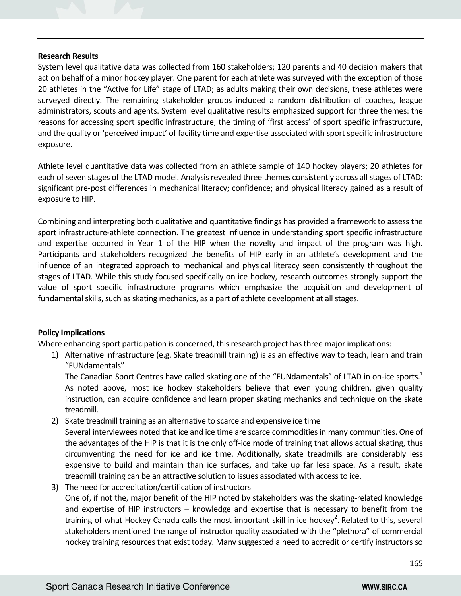#### **Research Results**

System level qualitative data was collected from 160 stakeholders; 120 parents and 40 decision makers that act on behalf of a minor hockey player. One parent for each athlete was surveyed with the exception of those 20 athletes in the "Active for Life" stage of LTAD; as adults making their own decisions, these athletes were surveyed directly. The remaining stakeholder groups included a random distribution of coaches, league administrators, scouts and agents. System level qualitative results emphasized support for three themes: the reasons for accessing sport specific infrastructure, the timing of 'first access' of sport specific infrastructure, and the quality or 'perceived impact' of facility time and expertise associated with sport specific infrastructure exposure.

Athlete level quantitative data was collected from an athlete sample of 140 hockey players; 20 athletes for each of seven stages of the LTAD model. Analysis revealed three themes consistently across all stages of LTAD: significant pre-post differences in mechanical literacy; confidence; and physical literacy gained as a result of exposure to HIP.

Combining and interpreting both qualitative and quantitative findings has provided a framework to assess the sport infrastructure-athlete connection. The greatest influence in understanding sport specific infrastructure and expertise occurred in Year 1 of the HIP when the novelty and impact of the program was high. Participants and stakeholders recognized the benefits of HIP early in an athlete's development and the influence of an integrated approach to mechanical and physical literacy seen consistently throughout the stages of LTAD. While this study focused specifically on ice hockey, research outcomes strongly support the value of sport specific infrastructure programs which emphasize the acquisition and development of fundamental skills, such as skating mechanics, as a part of athlete development at all stages.

### **Policy Implications**

Where enhancing sport participation is concerned, this research project has three major implications:

1) Alternative infrastructure (e.g. Skate treadmill training) is as an effective way to teach, learn and train "FUNdamentals"

The Canadian Sport Centres have called skating one of the "FUNdamentals" of LTAD in on-ice sports.<sup>1</sup> As noted above, most ice hockey stakeholders believe that even young children, given quality instruction, can acquire confidence and learn proper skating mechanics and technique on the skate treadmill.

- 2) Skate treadmill training as an alternative to scarce and expensive ice time Several interviewees noted that ice and ice time are scarce commodities in many communities. One of the advantages of the HIP is that it is the only off-ice mode of training that allows actual skating, thus circumventing the need for ice and ice time. Additionally, skate treadmills are considerably less expensive to build and maintain than ice surfaces, and take up far less space. As a result, skate treadmill training can be an attractive solution to issues associated with access to ice.
- 3) The need for accreditation/certification of instructors One of, if not the, major benefit of the HIP noted by stakeholders was the skating-related knowledge and expertise of HIP instructors – knowledge and expertise that is necessary to benefit from the training of what Hockey Canada calls the most important skill in ice hockey<sup>2</sup>. Related to this, several stakeholders mentioned the range of instructor quality associated with the "plethora" of commercial hockey training resources that exist today. Many suggested a need to accredit or certify instructors so